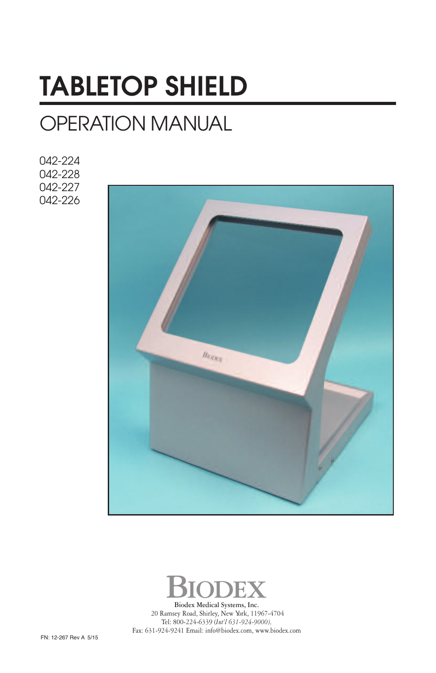# **TABLETOP SHIELD**

# OPERATION MANUAL

042-224 042-228 042-227 042-226





**Biodex Medical Systems**, Inc. 20 Ramsey Road, Shirley, New York, 11967-4704 Tel: 800-224-6339 (*Int'l 631-924-9000),* Fax: 631-924-9241 Email: info@biodex.com, www.biodex.com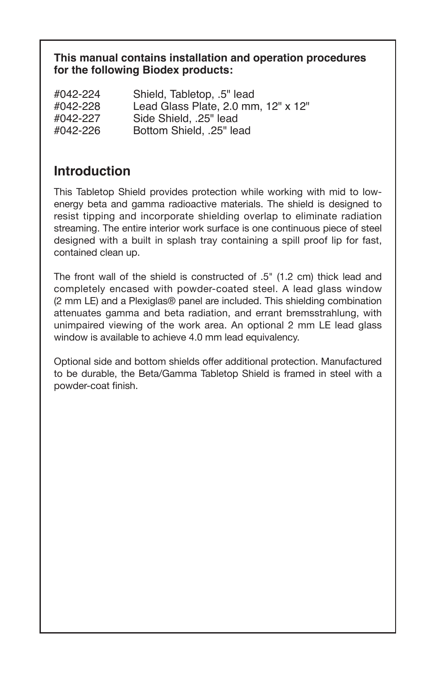#### **This manual contains installation and operation procedures for the following Biodex products:**

| #042-224 | Shield, Tabletop, .5" lead          |
|----------|-------------------------------------|
| #042-228 | Lead Glass Plate, 2.0 mm, 12" x 12" |
| #042-227 | Side Shield. .25" lead              |
| #042-226 | Bottom Shield. .25" lead            |
|          |                                     |

## **Introduction**

This Tabletop Shield provides protection while working with mid to lowenergy beta and gamma radioactive materials. The shield is designed to resist tipping and incorporate shielding overlap to eliminate radiation streaming. The entire interior work surface is one continuous piece of steel designed with a built in splash tray containing a spill proof lip for fast, contained clean up.

The front wall of the shield is constructed of .5" (1.2 cm) thick lead and completely encased with powder-coated steel. A lead glass window (2 mm LE) and a Plexiglas® panel are included. This shielding combination attenuates gamma and beta radiation, and errant bremsstrahlung, with unimpaired viewing of the work area. An optional 2 mm LE lead glass window is available to achieve 4.0 mm lead equivalency.

Optional side and bottom shields offer additional protection. Manufactured to be durable, the Beta/Gamma Tabletop Shield is framed in steel with a powder-coat finish.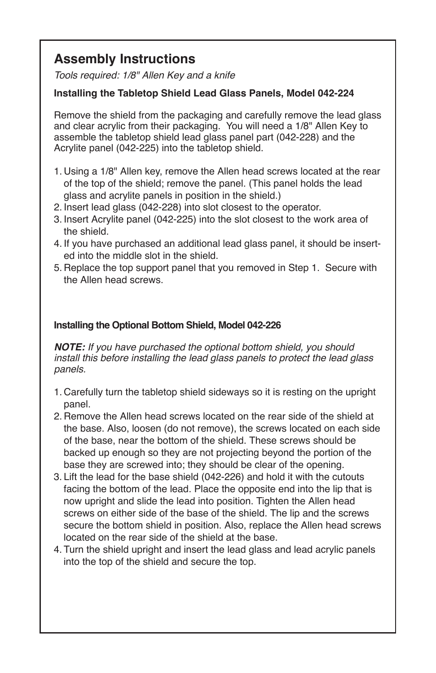# **Assembly Instructions**

Tools required: 1/8" Allen Key and a knife

#### **Installing the Tabletop Shield Lead Glass Panels, Model 042-224**

Remove the shield from the packaging and carefully remove the lead glass and clear acrylic from their packaging. You will need a 1/8" Allen Key to assemble the tabletop shield lead glass panel part (042-228) and the Acrylite panel (042-225) into the tabletop shield.

- 1. Using a 1/8" Allen key, remove the Allen head screws located at the rear of the top of the shield; remove the panel. (This panel holds the lead glass and acrylite panels in position in the shield.)
- 2. Insert lead glass (042-228) into slot closest to the operator.
- 3. Insert Acrylite panel (042-225) into the slot closest to the work area of the shield.
- 4. If you have purchased an additional lead glass panel, it should be inserted into the middle slot in the shield.
- 5. Replace the top support panel that you removed in Step 1. Secure with the Allen head screws.

#### **Installing the Optional Bottom Shield, Model 042-226**

**NOTE:** If you have purchased the optional bottom shield, you should install this before installing the lead glass panels to protect the lead glass panels.

- 1. Carefully turn the tabletop shield sideways so it is resting on the upright panel.
- 2. Remove the Allen head screws located on the rear side of the shield at the base. Also, loosen (do not remove), the screws located on each side of the base, near the bottom of the shield. These screws should be backed up enough so they are not projecting beyond the portion of the base they are screwed into; they should be clear of the opening.
- 3. Lift the lead for the base shield (042-226) and hold it with the cutouts facing the bottom of the lead. Place the opposite end into the lip that is now upright and slide the lead into position. Tighten the Allen head screws on either side of the base of the shield. The lip and the screws secure the bottom shield in position. Also, replace the Allen head screws located on the rear side of the shield at the base.
- 4. Turn the shield upright and insert the lead glass and lead acrylic panels into the top of the shield and secure the top.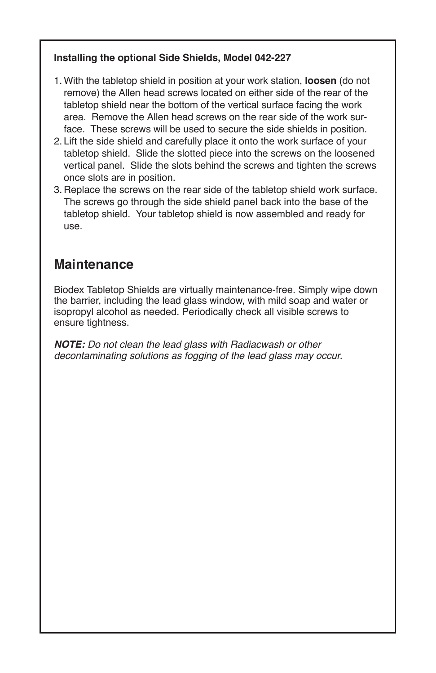#### **Installing the optional Side Shields, Model 042-227**

- 1. With the tabletop shield in position at your work station, **loosen** (do not remove) the Allen head screws located on either side of the rear of the tabletop shield near the bottom of the vertical surface facing the work area. Remove the Allen head screws on the rear side of the work surface. These screws will be used to secure the side shields in position.
- 2. Lift the side shield and carefully place it onto the work surface of your tabletop shield. Slide the slotted piece into the screws on the loosened vertical panel. Slide the slots behind the screws and tighten the screws once slots are in position.
- 3. Replace the screws on the rear side of the tabletop shield work surface. The screws go through the side shield panel back into the base of the tabletop shield. Your tabletop shield is now assembled and ready for use.

## **Maintenance**

Biodex Tabletop Shields are virtually maintenance-free. Simply wipe down the barrier, including the lead glass window, with mild soap and water or isopropyl alcohol as needed. Periodically check all visible screws to ensure tightness.

**NOTE:** Do not clean the lead glass with Radiacwash or other decontaminating solutions as fogging of the lead glass may occur.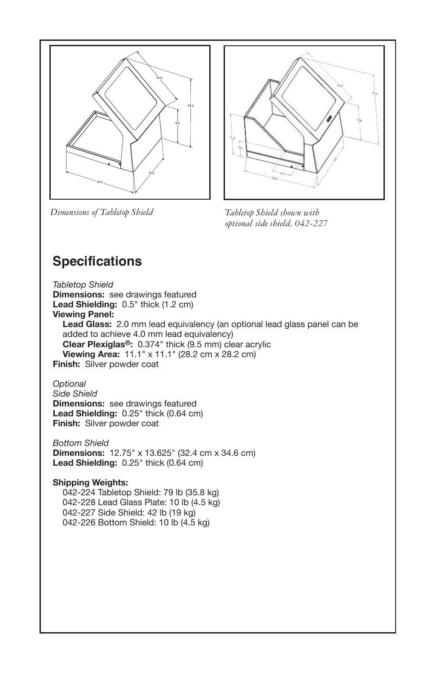

*Dimensions of Tabletop Shield Tabletop Shield shown with*



*optional side shield, 042-227*

# **Specifications**

*Tabletop Shield* **Dimensions:** see drawings featured **Lead Shielding:** 0.5" thick (1.2 cm) **Viewing Panel: Lead Glass:** 2.0 mm lead equivalency (an optional lead glass panel can be added to achieve 4.0 mm lead equivalency) **Clear Plexiglas®:** 0.374" thick (9.5 mm) clear acrylic **Viewing Area:** 11.1" x 11.1" (28.2 cm x 28.2 cm) **Finish:** Silver powder coat

*Optional Side Shield* **Dimensions:** see drawings featured **Lead Shielding:** 0.25" thick (0.64 cm) **Finish:** Silver powder coat

*Bottom Shield* **Dimensions:** 12.75" x 13.625" (32.4 cm x 34.6 cm) **Lead Shielding:** 0.25" thick (0.64 cm)

#### **Shipping Weights:**

042-224 Tabletop Shield: 79 lb (35.8 kg) 042-228 Lead Glass Plate: 10 lb (4.5 kg) 042-227 Side Shield: 42 lb (19 kg) 042-226 Bottom Shield: 10 lb (4.5 kg)